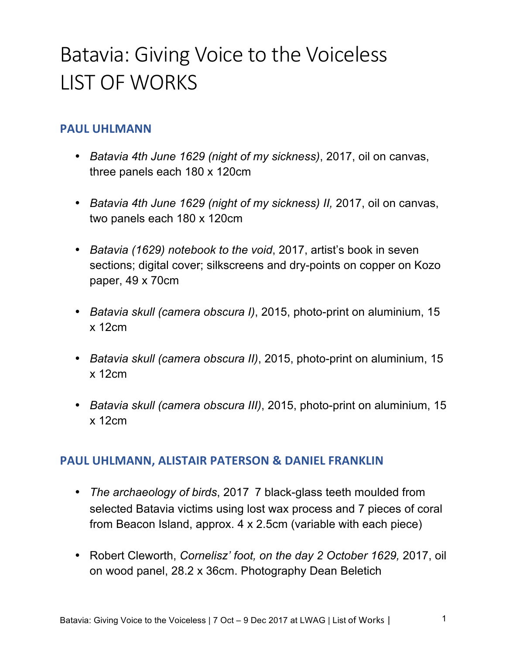# Batavia: Giving Voice to the Voiceless LIST OF WORKS

### **PAUL UHLMANN**

- *Batavia 4th June 1629 (night of my sickness)*, 2017, oil on canvas, three panels each 180 x 120cm
- *Batavia 4th June 1629 (night of my sickness) II,* 2017, oil on canvas, two panels each 180 x 120cm
- *Batavia (1629) notebook to the void*, 2017, artist's book in seven sections; digital cover; silkscreens and dry-points on copper on Kozo paper, 49 x 70cm
- *Batavia skull (camera obscura I)*, 2015, photo-print on aluminium, 15 x 12cm
- *Batavia skull (camera obscura II)*, 2015, photo-print on aluminium, 15 x 12cm
- *Batavia skull (camera obscura III)*, 2015, photo-print on aluminium, 15 x 12cm

#### **PAUL UHLMANN, ALISTAIR PATERSON & DANIEL FRANKLIN**

- *The archaeology of birds*, 2017 7 black-glass teeth moulded from selected Batavia victims using lost wax process and 7 pieces of coral from Beacon Island, approx. 4 x 2.5cm (variable with each piece)
- Robert Cleworth, *Cornelisz' foot, on the day 2 October 1629,* 2017, oil on wood panel, 28.2 x 36cm. Photography Dean Beletich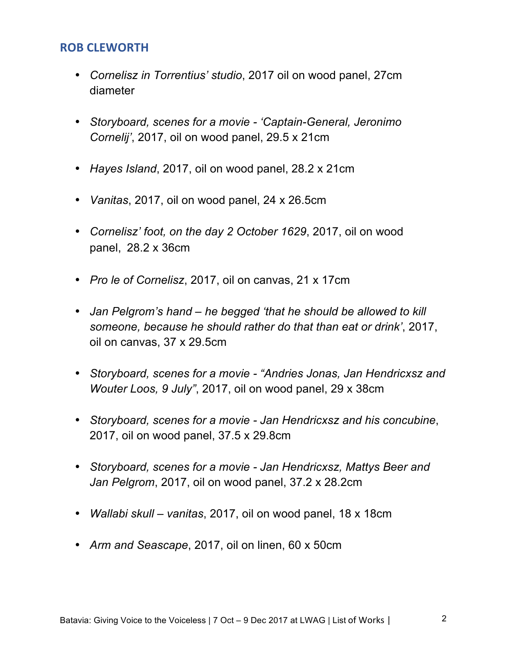#### **ROB CLEWORTH**

- *Cornelisz in Torrentius' studio*, 2017 oil on wood panel, 27cm diameter
- *Storyboard, scenes for a movie - 'Captain-General, Jeronimo Cornelij'*, 2017, oil on wood panel, 29.5 x 21cm
- *Hayes Island*, 2017, oil on wood panel, 28.2 x 21cm
- *Vanitas*, 2017, oil on wood panel, 24 x 26.5cm
- *Cornelisz' foot, on the day 2 October 1629*, 2017, oil on wood panel, 28.2 x 36cm
- *Pro le of Cornelisz*, 2017, oil on canvas, 21 x 17cm
- *Jan Pelgrom's hand – he begged 'that he should be allowed to kill someone, because he should rather do that than eat or drink'*, 2017, oil on canvas, 37 x 29.5cm
- *Storyboard, scenes for a movie - "Andries Jonas, Jan Hendricxsz and Wouter Loos, 9 July"*, 2017, oil on wood panel, 29 x 38cm
- *Storyboard, scenes for a movie - Jan Hendricxsz and his concubine*, 2017, oil on wood panel, 37.5 x 29.8cm
- *Storyboard, scenes for a movie - Jan Hendricxsz, Mattys Beer and Jan Pelgrom*, 2017, oil on wood panel, 37.2 x 28.2cm
- *Wallabi skull – vanitas*, 2017, oil on wood panel, 18 x 18cm
- *Arm and Seascape*, 2017, oil on linen, 60 x 50cm